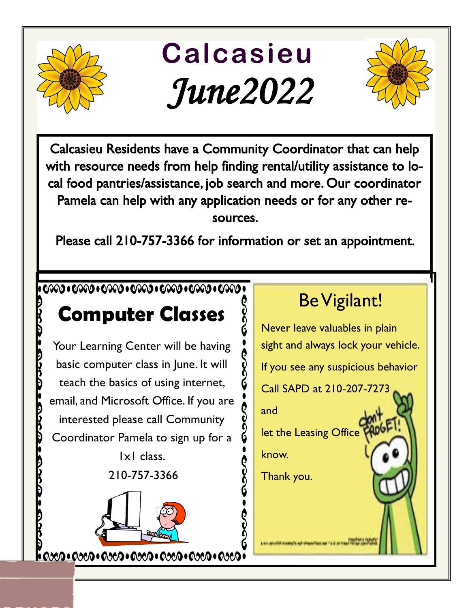

## **Calcasieu**  *June2022*



Calcasieu Residents have a Community Coordinator that can help with resource needs from help finding rental/utility assistance to local food pantries/assistance, job search and more. Our coordinator Pamela can help with any application needs or for any other resources.

Please call 210-757-3366 for information or set an appointment.

## 

## **Computer Classes**

Your Learning Center will be having basic computer class in June. It will teach the basics of using internet, email, and Microsoft Office. If you are interested please call Community Coordinator Pamela to sign up for a

1x1 class. 210-757-3366



## Be Vigilant!

Never leave valuables in plain sight and always lock your vehicle. If you see any suspicious behavior Call SAPD at 210-207-7273 and let the Leasing Office know. Thank you.